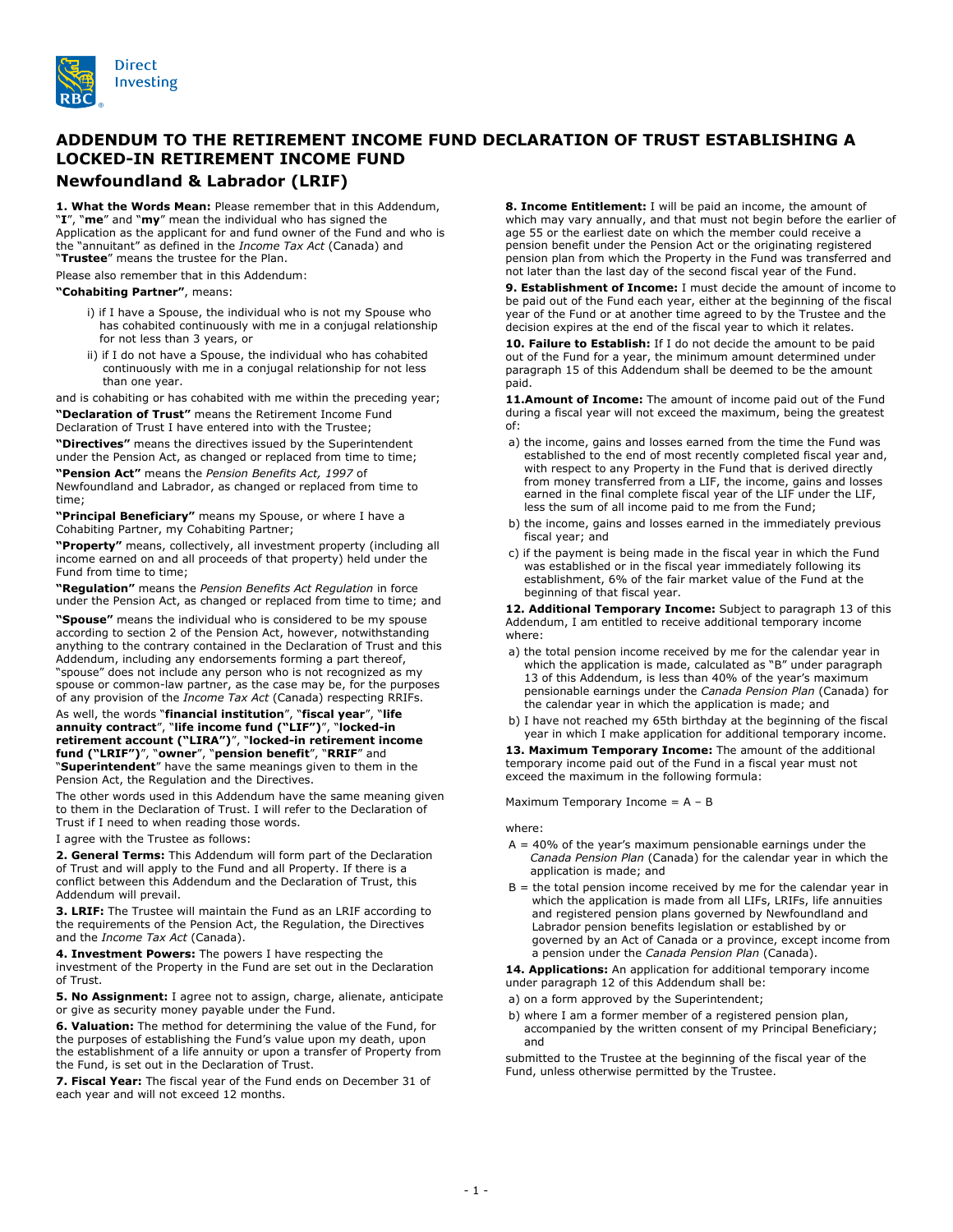

## **ADDENDUM TO THE RETIREMENT INCOME FUND DECLARATION OF TRUST ESTABLISHING A LOCKED-IN RETIREMENT INCOME FUND Newfoundland & Labrador (LRIF)**

**1. What the Words Mean:** Please remember that in this Addendum, "**I**", "**me**" and "**my**" mean the individual who has signed the Application as the applicant for and fund owner of the Fund and who is the "annuitant" as defined in the *Income Tax Act* (Canada) and "**Trustee**" means the trustee for the Plan.

Please also remember that in this Addendum:

## **"Cohabiting Partner"**, means:

- i) if I have a Spouse, the individual who is not my Spouse who has cohabited continuously with me in a conjugal relationship for not less than 3 years, or
- ii) if I do not have a Spouse, the individual who has cohabited continuously with me in a conjugal relationship for not less than one year.

and is cohabiting or has cohabited with me within the preceding year;

**"Declaration of Trust"** means the Retirement Income Fund Declaration of Trust I have entered into with the Trustee;

**"Directives"** means the directives issued by the Superintendent under the Pension Act, as changed or replaced from time to time;

**"Pension Act"** means the *Pension Benefits Act, 1997* of Newfoundland and Labrador, as changed or replaced from time to time;

**"Principal Beneficiary"** means my Spouse, or where I have a Cohabiting Partner, my Cohabiting Partner;

**"Property"** means, collectively, all investment property (including all income earned on and all proceeds of that property) held under the Fund from time to time;

**"Regulation"** means the *Pension Benefits Act Regulation* in force under the Pension Act, as changed or replaced from time to time; and

**"Spouse"** means the individual who is considered to be my spouse according to section 2 of the Pension Act, however, notwithstanding anything to the contrary contained in the Declaration of Trust and this Addendum, including any endorsements forming a part thereof, "spouse" does not include any person who is not recognized as my spouse or common-law partner, as the case may be, for the purposes of any provision of the *Income Tax Act* (Canada) respecting RRIFs.

## As well, the words "**financial institution**", "**fiscal year**", "**life annuity contract**", "**life income fund ("LIF")**", "**locked-in retirement account ("LIRA")**", "**locked-in retirement income fund ("LRIF")**", "**owner**", "**pension benefit**", "**RRIF**" and "**Superintendent**" have the same meanings given to them in the Pension Act, the Regulation and the Directives.

The other words used in this Addendum have the same meaning given to them in the Declaration of Trust. I will refer to the Declaration of Trust if I need to when reading those words.

I agree with the Trustee as follows:

**2. General Terms:** This Addendum will form part of the Declaration of Trust and will apply to the Fund and all Property. If there is a conflict between this Addendum and the Declaration of Trust, this Addendum will prevail.

**3. LRIF:** The Trustee will maintain the Fund as an LRIF according to the requirements of the Pension Act, the Regulation, the Directives and the *Income Tax Act* (Canada).

**4. Investment Powers:** The powers I have respecting the investment of the Property in the Fund are set out in the Declaration of Trust.

**5. No Assignment:** I agree not to assign, charge, alienate, anticipate or give as security money payable under the Fund.

**6. Valuation:** The method for determining the value of the Fund, for the purposes of establishing the Fund's value upon my death, upon the establishment of a life annuity or upon a transfer of Property from the Fund, is set out in the Declaration of Trust.

**7. Fiscal Year:** The fiscal year of the Fund ends on December 31 of each year and will not exceed 12 months.

**8. Income Entitlement:** I will be paid an income, the amount of which may vary annually, and that must not begin before the earlier of age 55 or the earliest date on which the member could receive a pension benefit under the Pension Act or the originating registered pension plan from which the Property in the Fund was transferred and not later than the last day of the second fiscal year of the Fund.

**9. Establishment of Income:** I must decide the amount of income to be paid out of the Fund each year, either at the beginning of the fiscal year of the Fund or at another time agreed to by the Trustee and the decision expires at the end of the fiscal year to which it relates.

**10. Failure to Establish:** If I do not decide the amount to be paid out of the Fund for a year, the minimum amount determined under paragraph 15 of this Addendum shall be deemed to be the amount paid.

11. Amount of Income: The amount of income paid out of the Fund during a fiscal year will not exceed the maximum, being the greatest of:

- a) the income, gains and losses earned from the time the Fund was established to the end of most recently completed fiscal year and, with respect to any Property in the Fund that is derived directly from money transferred from a LIF, the income, gains and losses earned in the final complete fiscal year of the LIF under the LIF, less the sum of all income paid to me from the Fund;
- b) the income, gains and losses earned in the immediately previous fiscal year; and
- c) if the payment is being made in the fiscal year in which the Fund was established or in the fiscal year immediately following its establishment, 6% of the fair market value of the Fund at the beginning of that fiscal year.

**12. Additional Temporary Income:** Subject to paragraph 13 of this Addendum, I am entitled to receive additional temporary income where:

- a) the total pension income received by me for the calendar year in which the application is made, calculated as "B" under paragraph 13 of this Addendum, is less than 40% of the year's maximum pensionable earnings under the *Canada Pension Plan* (Canada) for the calendar year in which the application is made; and
- b) I have not reached my 65th birthday at the beginning of the fiscal year in which I make application for additional temporary income.

**13. Maximum Temporary Income:** The amount of the additional temporary income paid out of the Fund in a fiscal year must not exceed the maximum in the following formula:

Maximum Temporary Income = A – B

where:

- $A = 40%$  of the year's maximum pensionable earnings under the *Canada Pension Plan* (Canada) for the calendar year in which the application is made; and
- $B =$  the total pension income received by me for the calendar year in which the application is made from all LIFs, LRIFs, life annuities and registered pension plans governed by Newfoundland and Labrador pension benefits legislation or established by or governed by an Act of Canada or a province, except income from a pension under the *Canada Pension Plan* (Canada).

**14. Applications:** An application for additional temporary income under paragraph 12 of this Addendum shall be:

- a) on a form approved by the Superintendent;
- b) where I am a former member of a registered pension plan, accompanied by the written consent of my Principal Beneficiary; and

submitted to the Trustee at the beginning of the fiscal year of the Fund, unless otherwise permitted by the Trustee.